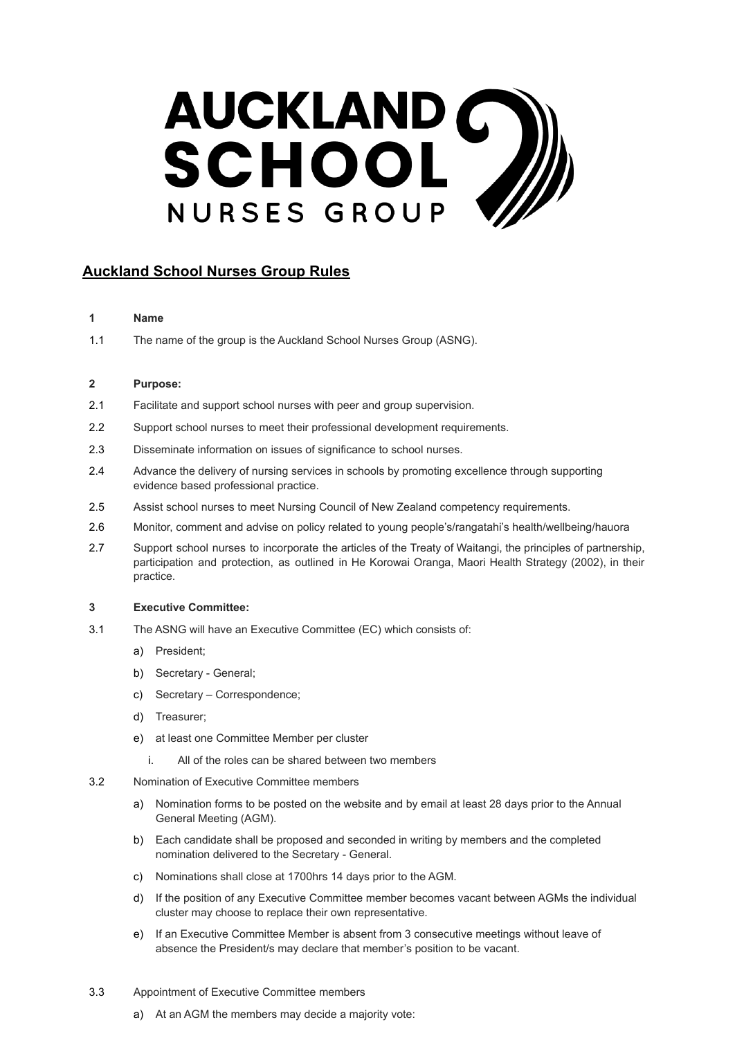# AUCKLAND C

# **Auckland School Nurses Group Rules**

# **1 Name**

1.1 The name of the group is the Auckland School Nurses Group (ASNG).

# **2 Purpose:**

- 2.1 Facilitate and support school nurses with peer and group supervision.
- 2.2 Support school nurses to meet their professional development requirements.
- 2.3 Disseminate information on issues of significance to school nurses.
- 2.4 Advance the delivery of nursing services in schools by promoting excellence through supporting evidence based professional practice.
- 2.5 Assist school nurses to meet Nursing Council of New Zealand competency requirements.
- 2.6 Monitor, comment and advise on policy related to young people's/rangatahi's health/wellbeing/hauora
- 2.7 Support school nurses to incorporate the articles of the Treaty of Waitangi, the principles of partnership, participation and protection, as outlined in He Korowai Oranga, Maori Health Strategy (2002), in their practice.

#### **3 Executive Committee:**

- 3.1 The ASNG will have an Executive Committee (EC) which consists of:
	- a) President;
	- b) Secretary General;
	- c) Secretary Correspondence;
	- d) Treasurer;
	- e) at least one Committee Member per cluster
		- i. All of the roles can be shared between two members
- 3.2 Nomination of Executive Committee members
	- a) Nomination forms to be posted on the website and by email at least 28 days prior to the Annual General Meeting (AGM).
	- b) Each candidate shall be proposed and seconded in writing by members and the completed nomination delivered to the Secretary - General.
	- c) Nominations shall close at 1700hrs 14 days prior to the AGM.
	- d) If the position of any Executive Committee member becomes vacant between AGMs the individual cluster may choose to replace their own representative.
	- e) If an Executive Committee Member is absent from 3 consecutive meetings without leave of absence the President/s may declare that member's position to be vacant.
- 3.3 Appointment of Executive Committee members
	- a) At an AGM the members may decide a majority vote: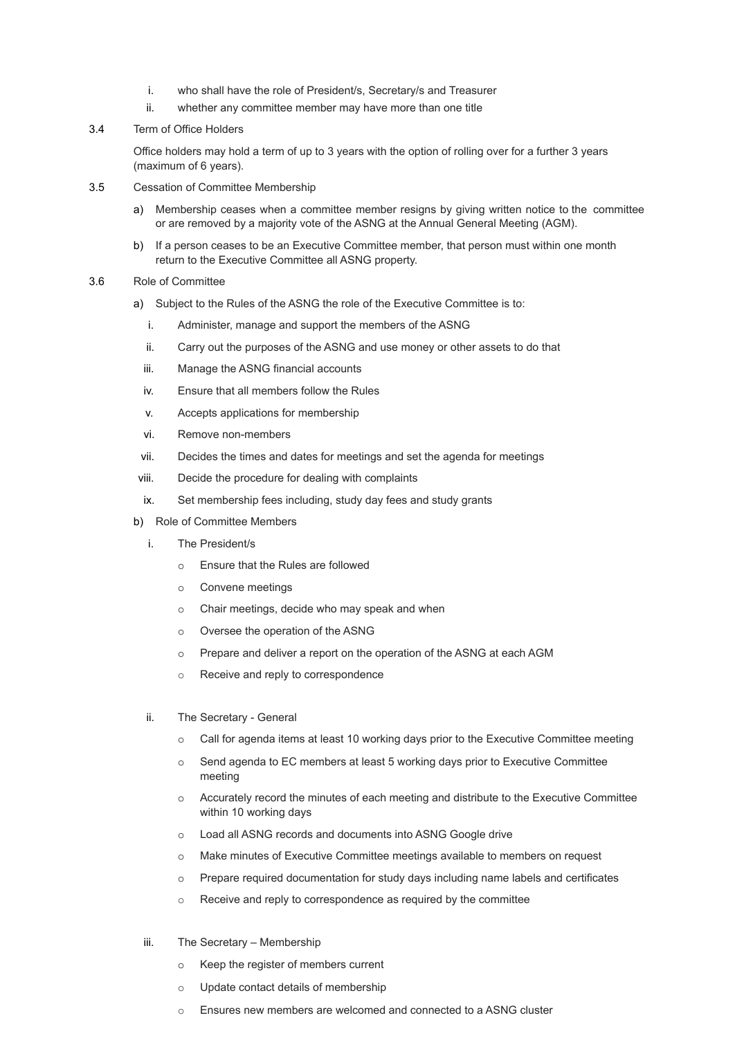- i. who shall have the role of President/s, Secretary/s and Treasurer
- ii. whether any committee member may have more than one title
- 3.4 Term of Office Holders

Office holders may hold a term of up to 3 years with the option of rolling over for a further 3 years (maximum of 6 years).

- 3.5 Cessation of Committee Membership
	- a) Membership ceases when a committee member resigns by giving written notice to the committee or are removed by a majority vote of the ASNG at the Annual General Meeting (AGM).
	- b) If a person ceases to be an Executive Committee member, that person must within one month return to the Executive Committee all ASNG property.
- 3.6 Role of Committee
	- a) Subject to the Rules of the ASNG the role of the Executive Committee is to:
		- i. Administer, manage and support the members of the ASNG
		- ii. Carry out the purposes of the ASNG and use money or other assets to do that
		- iii. Manage the ASNG financial accounts
		- iv. Ensure that all members follow the Rules
		- v. Accepts applications for membership
		- vi. Remove non-members
	- vii. Decides the times and dates for meetings and set the agenda for meetings
	- viii. Decide the procedure for dealing with complaints
	- ix. Set membership fees including, study day fees and study grants
	- b) Role of Committee Members
		- i. The President/s
			- o Ensure that the Rules are followed
			- o Convene meetings
			- o Chair meetings, decide who may speak and when
			- o Oversee the operation of the ASNG
			- o Prepare and deliver a report on the operation of the ASNG at each AGM
			- o Receive and reply to correspondence
		- ii. The Secretary General
			- o Call for agenda items at least 10 working days prior to the Executive Committee meeting
			- o Send agenda to EC members at least 5 working days prior to Executive Committee meeting
			- o Accurately record the minutes of each meeting and distribute to the Executive Committee within 10 working days
			- o Load all ASNG records and documents into ASNG Google drive
			- o Make minutes of Executive Committee meetings available to members on request
			- o Prepare required documentation for study days including name labels and certificates
			- o Receive and reply to correspondence as required by the committee
		- iii. The Secretary Membership
			- o Keep the register of members current
			- o Update contact details of membership
			- o Ensures new members are welcomed and connected to a ASNG cluster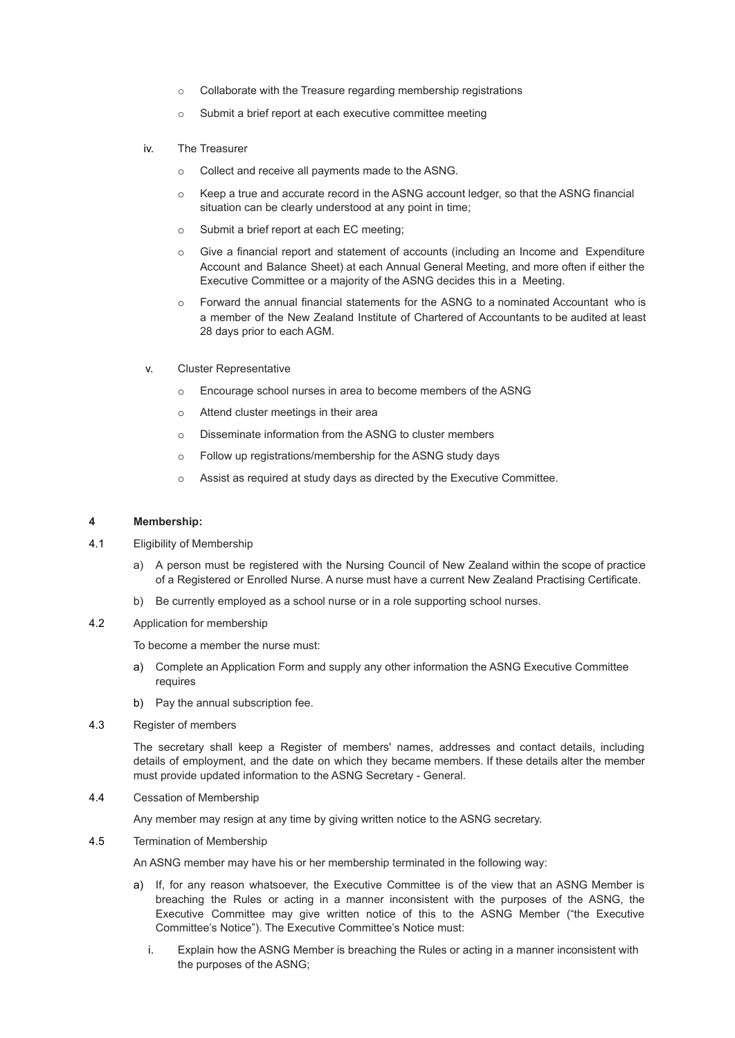- o Collaborate with the Treasure regarding membership registrations
- o Submit a brief report at each executive committee meeting
- iv. The Treasurer
	- o Collect and receive all payments made to the ASNG.
	- o Keep a true and accurate record in the ASNG account ledger, so that the ASNG financial situation can be clearly understood at any point in time;
	- o Submit a brief report at each EC meeting;
	- o Give a financial report and statement of accounts (including an Income and Expenditure Account and Balance Sheet) at each Annual General Meeting, and more often if either the Executive Committee or a majority of the ASNG decides this in a Meeting.
	- o Forward the annual financial statements for the ASNG to a nominated Accountant who is a member of the New Zealand Institute of Chartered of Accountants to be audited at least 28 days prior to each AGM.
- v. Cluster Representative
	- o Encourage school nurses in area to become members of the ASNG
	- o Attend cluster meetings in their area
	- o Disseminate information from the ASNG to cluster members
	- o Follow up registrations/membership for the ASNG study days
	- o Assist as required at study days as directed by the Executive Committee.

#### **4 Membership:**

- 4.1 Eligibility of Membership
	- a) A person must be registered with the Nursing Council of New Zealand within the scope of practice of a Registered or Enrolled Nurse. A nurse must have a current New Zealand Practising Certificate.
	- b) Be currently employed as a school nurse or in a role supporting school nurses.
- 4.2 Application for membership

To become a member the nurse must:

- a) Complete an Application Form and supply any other information the ASNG Executive Committee requires
- b) Pay the annual subscription fee.
- 4.3 Register of members

The secretary shall keep a Register of members' names, addresses and contact details, including details of employment, and the date on which they became members. If these details alter the member must provide updated information to the ASNG Secretary - General.

4.4 Cessation of Membership

Any member may resign at any time by giving written notice to the ASNG secretary.

4.5 Termination of Membership

An ASNG member may have his or her membership terminated in the following way:

- a) If, for any reason whatsoever, the Executive Committee is of the view that an ASNG Member is breaching the Rules or acting in a manner inconsistent with the purposes of the ASNG, the Executive Committee may give written notice of this to the ASNG Member ("the Executive Committee's Notice"). The Executive Committee's Notice must:
	- i. Explain how the ASNG Member is breaching the Rules or acting in a manner inconsistent with the purposes of the ASNG;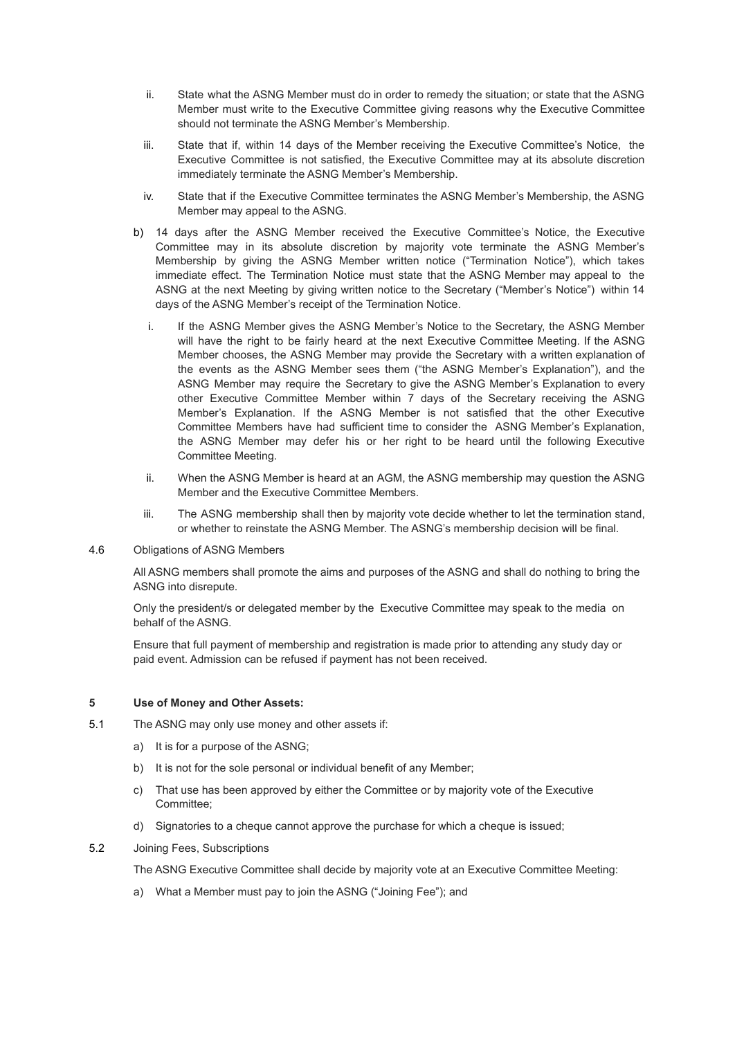- ii. State what the ASNG Member must do in order to remedy the situation; or state that the ASNG Member must write to the Executive Committee giving reasons why the Executive Committee should not terminate the ASNG Member's Membership.
- iii. State that if, within 14 days of the Member receiving the Executive Committee's Notice, the Executive Committee is not satisfied, the Executive Committee may at its absolute discretion immediately terminate the ASNG Member's Membership.
- iv. State that if the Executive Committee terminates the ASNG Member's Membership, the ASNG Member may appeal to the ASNG.
- b) 14 days after the ASNG Member received the Executive Committee's Notice, the Executive Committee may in its absolute discretion by majority vote terminate the ASNG Member's Membership by giving the ASNG Member written notice ("Termination Notice"), which takes immediate effect. The Termination Notice must state that the ASNG Member may appeal to the ASNG at the next Meeting by giving written notice to the Secretary ("Member's Notice") within 14 days of the ASNG Member's receipt of the Termination Notice.
	- i. If the ASNG Member gives the ASNG Member's Notice to the Secretary, the ASNG Member will have the right to be fairly heard at the next Executive Committee Meeting. If the ASNG Member chooses, the ASNG Member may provide the Secretary with a written explanation of the events as the ASNG Member sees them ("the ASNG Member's Explanation"), and the ASNG Member may require the Secretary to give the ASNG Member's Explanation to every other Executive Committee Member within 7 days of the Secretary receiving the ASNG Member's Explanation. If the ASNG Member is not satisfied that the other Executive Committee Members have had sufficient time to consider the ASNG Member's Explanation, the ASNG Member may defer his or her right to be heard until the following Executive Committee Meeting.
	- ii. When the ASNG Member is heard at an AGM, the ASNG membership may question the ASNG Member and the Executive Committee Members.
	- iii. The ASNG membership shall then by majority vote decide whether to let the termination stand, or whether to reinstate the ASNG Member. The ASNG's membership decision will be final.
- 4.6 Obligations of ASNG Members

All ASNG members shall promote the aims and purposes of the ASNG and shall do nothing to bring the ASNG into disrepute.

Only the president/s or delegated member by the Executive Committee may speak to the media on behalf of the ASNG.

Ensure that full payment of membership and registration is made prior to attending any study day or paid event. Admission can be refused if payment has not been received.

#### **5 Use of Money and Other Assets:**

- 5.1 The ASNG may only use money and other assets if:
	- a) It is for a purpose of the ASNG;
	- b) It is not for the sole personal or individual benefit of any Member;
	- c) That use has been approved by either the Committee or by majority vote of the Executive Committee;
	- d) Signatories to a cheque cannot approve the purchase for which a cheque is issued;
- 5.2 Joining Fees, Subscriptions

The ASNG Executive Committee shall decide by majority vote at an Executive Committee Meeting:

a) What a Member must pay to join the ASNG ("Joining Fee"); and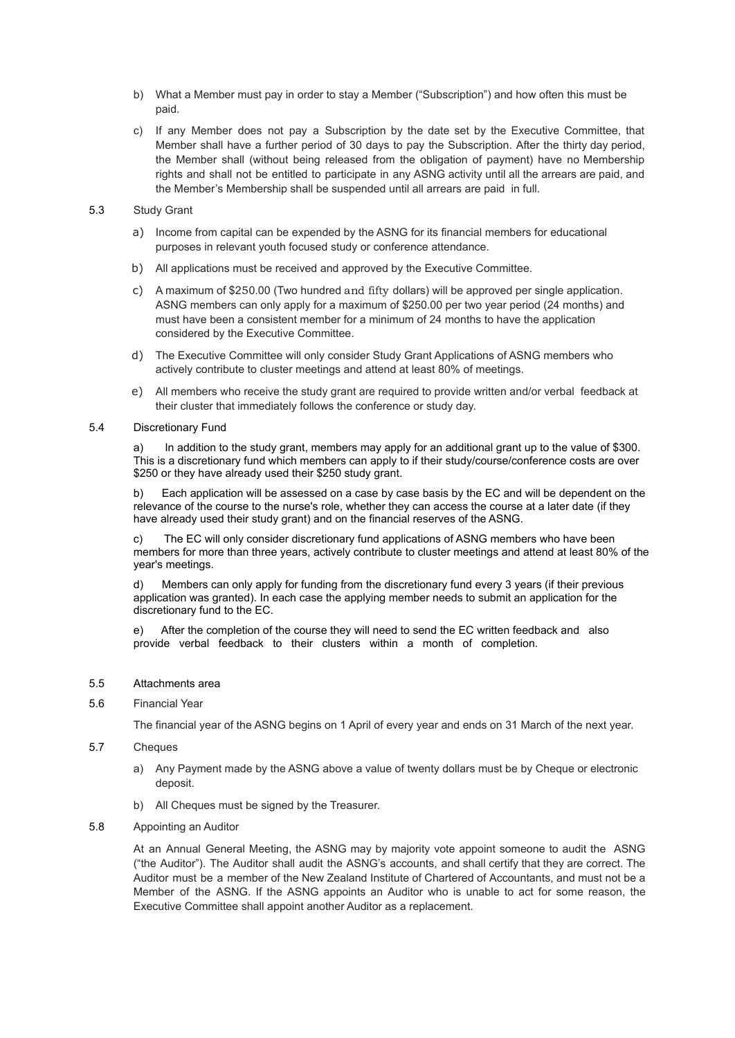- b) What a Member must pay in order to stay a Member ("Subscription") and how often this must be paid.
- c) If any Member does not pay a Subscription by the date set by the Executive Committee, that Member shall have a further period of 30 days to pay the Subscription. After the thirty day period, the Member shall (without being released from the obligation of payment) have no Membership rights and shall not be entitled to participate in any ASNG activity until all the arrears are paid, and the Member's Membership shall be suspended until all arrears are paid in full.

#### 5.3 Study Grant

- a) Income from capital can be expended by the ASNG for its financial members for educational purposes in relevant youth focused study or conference attendance.
- b) All applications must be received and approved by the Executive Committee.
- c) A maximum of \$250.00 (Two hundred and fifty dollars) will be approved per single application. ASNG members can only apply for a maximum of \$250.00 per two year period (24 months) and must have been a consistent member for a minimum of 24 months to have the application considered by the Executive Committee.
- d) The Executive Committee will only consider Study Grant Applications of ASNG members who actively contribute to cluster meetings and attend at least 80% of meetings.
- e) All members who receive the study grant are required to provide written and/or verbal feedback at their cluster that immediately follows the conference or study day.

#### 5.4 Discretionary Fund

a) In addition to the study grant, members may apply for an additional grant up to the value of \$300. This is a discretionary fund which members can apply to if their study/course/conference costs are over \$250 or they have already used their \$250 study grant.

b) Each application will be assessed on a case by case basis by the EC and will be dependent on the relevance of the course to the nurse's role, whether they can access the course at a later date (if they have already used their study grant) and on the financial reserves of the ASNG.

c) The EC will only consider discretionary fund applications of ASNG members who have been members for more than three years, actively contribute to cluster meetings and attend at least 80% of the year's meetings.

Members can only apply for funding from the discretionary fund every 3 years (if their previous application was granted). In each case the applying member needs to submit an application for the discretionary fund to the EC.

e) After the completion of the course they will need to send the EC written feedback and also provide verbal feedback to their clusters within a month of completion.

# 5.5 Attachments area

#### 5.6 Financial Year

The financial year of the ASNG begins on 1 April of every year and ends on 31 March of the next year.

# 5.7 Cheques

- a) Any Payment made by the ASNG above a value of twenty dollars must be by Cheque or electronic deposit.
- b) All Cheques must be signed by the Treasurer.

#### 5.8 Appointing an Auditor

At an Annual General Meeting, the ASNG may by majority vote appoint someone to audit the ASNG ("the Auditor"). The Auditor shall audit the ASNG's accounts, and shall certify that they are correct. The Auditor must be a member of the New Zealand Institute of Chartered of Accountants, and must not be a Member of the ASNG. If the ASNG appoints an Auditor who is unable to act for some reason, the Executive Committee shall appoint another Auditor as a replacement.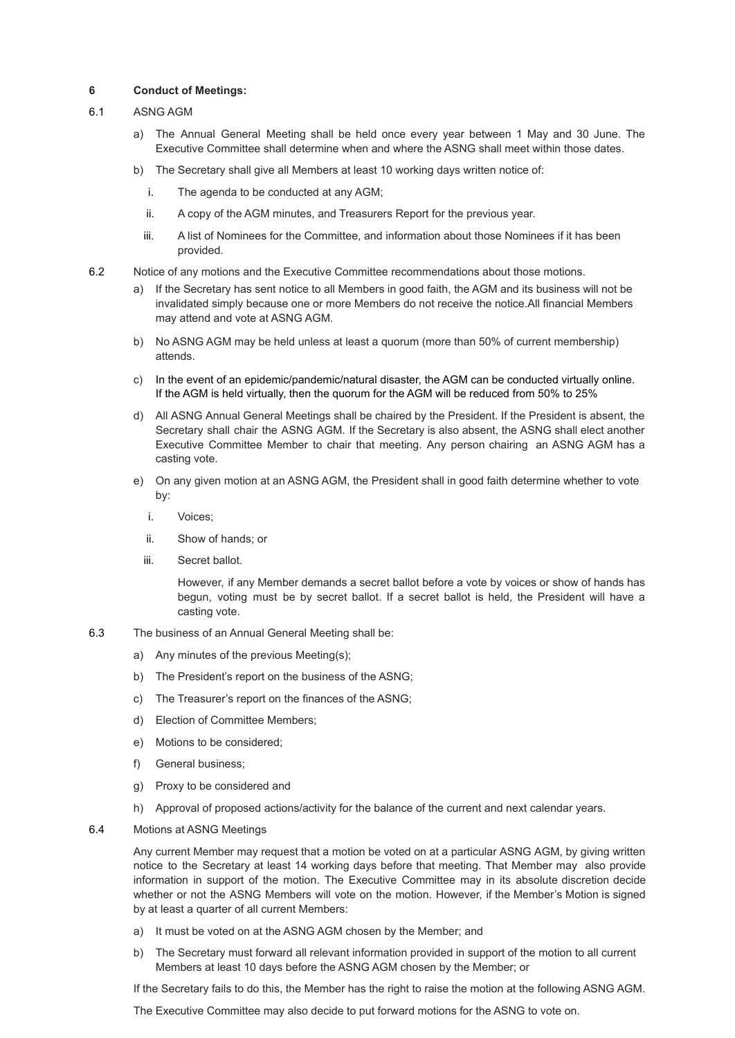# **6 Conduct of Meetings:**

# 6.1 ASNG AGM

- a) The Annual General Meeting shall be held once every year between 1 May and 30 June. The Executive Committee shall determine when and where the ASNG shall meet within those dates.
- b) The Secretary shall give all Members at least 10 working days written notice of:
	- i. The agenda to be conducted at any AGM;
	- ii. A copy of the AGM minutes, and Treasurers Report for the previous year.
	- iii. A list of Nominees for the Committee, and information about those Nominees if it has been provided.
- 6.2 Notice of any motions and the Executive Committee recommendations about those motions.
	- a) If the Secretary has sent notice to all Members in good faith, the AGM and its business will not be invalidated simply because one or more Members do not receive the notice.All financial Members may attend and vote at ASNG AGM.
	- b) No ASNG AGM may be held unless at least a quorum (more than 50% of current membership) attends.
	- c) In the event of an epidemic/pandemic/natural disaster, the AGM can be conducted virtually online. If the AGM is held virtually, then the quorum for the AGM will be reduced from 50% to 25%
	- d) All ASNG Annual General Meetings shall be chaired by the President. If the President is absent, the Secretary shall chair the ASNG AGM. If the Secretary is also absent, the ASNG shall elect another Executive Committee Member to chair that meeting. Any person chairing an ASNG AGM has a casting vote.
	- e) On any given motion at an ASNG AGM, the President shall in good faith determine whether to vote by:
		- i. Voices;
		- ii. Show of hands; or
		- iii. Secret ballot.

However, if any Member demands a secret ballot before a vote by voices or show of hands has begun, voting must be by secret ballot. If a secret ballot is held, the President will have a casting vote.

- 6.3 The business of an Annual General Meeting shall be:
	- a) Any minutes of the previous Meeting(s);
	- b) The President's report on the business of the ASNG;
	- c) The Treasurer's report on the finances of the ASNG;
	- d) Election of Committee Members;
	- e) Motions to be considered;
	- f) General business;
	- g) Proxy to be considered and
	- h) Approval of proposed actions/activity for the balance of the current and next calendar years.

# 6.4 Motions at ASNG Meetings

Any current Member may request that a motion be voted on at a particular ASNG AGM, by giving written notice to the Secretary at least 14 working days before that meeting. That Member may also provide information in support of the motion. The Executive Committee may in its absolute discretion decide whether or not the ASNG Members will vote on the motion. However, if the Member's Motion is signed by at least a quarter of all current Members:

- a) It must be voted on at the ASNG AGM chosen by the Member; and
- b) The Secretary must forward all relevant information provided in support of the motion to all current Members at least 10 days before the ASNG AGM chosen by the Member; or

If the Secretary fails to do this, the Member has the right to raise the motion at the following ASNG AGM.

The Executive Committee may also decide to put forward motions for the ASNG to vote on.